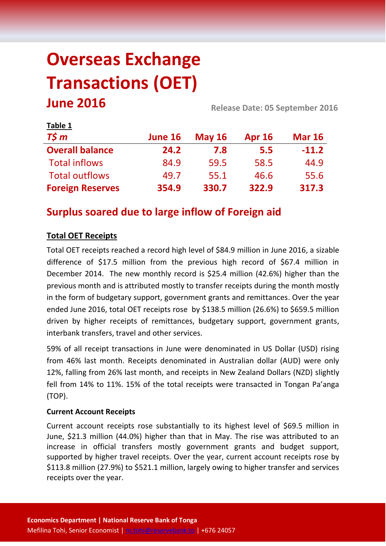# **Overseas Exchange Transactions (OET) June 2016 Release Date: 05 September <sup>2016</sup>**

| Table 1                 |         |               |               |               |
|-------------------------|---------|---------------|---------------|---------------|
| $T\frac{2}{3}m$         | June 16 | <b>May 16</b> | <b>Apr 16</b> | <b>Mar 16</b> |
| <b>Overall balance</b>  | 24.2    | 7.8           | 5.5           | $-11.2$       |
| <b>Total inflows</b>    | 84.9    | 59.5          | 58.5          | 44.9          |
| <b>Total outflows</b>   | 49.7    | 55.1          | 46.6          | 55.6          |
| <b>Foreign Reserves</b> | 354.9   | 330.7         | 322.9         | 317.3         |

# **Surplus soared due to large inflow of Foreign aid**

# **Total OET Receipts**

Total OET receipts reached a record high level of \$84.9 million in June 2016, a sizable difference of \$17.5 million from the previous high record of \$67.4 million in December 2014. The new monthly record is \$25.4 million (42.6%) higher than the previous month and is attributed mostly to transfer receipts during the month mostly in the form of budgetary support, government grants and remittances. Over the year ended June 2016, total OET receipts rose by \$138.5 million (26.6%) to \$659.5 million driven by higher receipts of remittances, budgetary support, government grants, interbank transfers, travel and other services.

59% of all receipt transactions in June were denominated in US Dollar (USD) rising from 46% last month. Receipts denominated in Australian dollar (AUD) were only 12%, falling from 26% last month, and receipts in New Zealand Dollars (NZD) slightly fell from 14% to 11%. 15% of the total receipts were transacted in Tongan Pa'anga (TOP).

# **Current Account Receipts**

Current account receipts rose substantially to its highest level of \$69.5 million in June, \$21.3 million (44.0%) higher than that in May. The rise was attributed to an increase in official transfers mostly government grants and budget support, supported by higher travel receipts. Over the year, current account receipts rose by \$113.8 million (27.9%) to \$521.1 million, largely owing to higher transfer and services receipts over the year.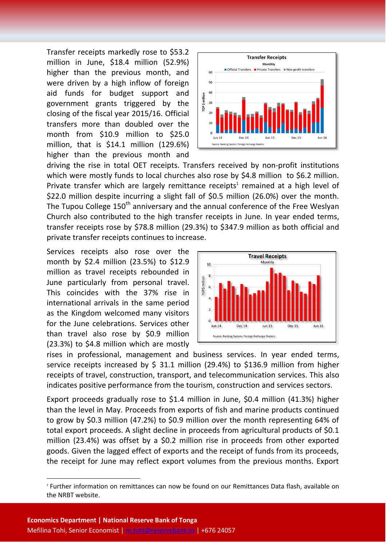Transfer receipts markedly rose to \$53.2 million in June, \$18.4 million (52.9%) higher than the previous month, and were driven by a high inflow of foreign aid funds for budget support and government grants triggered by the closing of the fiscal year 2015/16. Official transfers more than doubled over the month from \$10.9 million to \$25.0 million, that is \$14.1 million (129.6%) higher than the previous month and



driving the rise in total OET receipts. Transfers received by non-profit institutions which were mostly funds to local churches also rose by \$4.8 million to \$6.2 million. Private transfer which are largely remittance receipts<sup>1</sup> remained at a high level of \$22.0 million despite incurring a slight fall of \$0.5 million (26.0%) over the month. The Tupou College 150<sup>th</sup> anniversary and the annual conference of the Free Weslyan Church also contributed to the high transfer receipts in June. In year ended terms, transfer receipts rose by \$78.8 million (29.3%) to \$347.9 million as both official and private transfer receipts continues to increase.

Services receipts also rose over the month by \$2.4 million (23.5%) to \$12.9 million as travel receipts rebounded in June particularly from personal travel. This coincides with the 37% rise in international arrivals in the same period as the Kingdom welcomed many visitors for the June celebrations. Services other than travel also rose by \$0.9 million (23.3%) to \$4.8 million which are mostly



rises in professional, management and business services. In year ended terms, service receipts increased by \$ 31.1 million (29.4%) to \$136.9 million from higher receipts of travel, construction, transport, and telecommunication services. This also indicates positive performance from the tourism, construction and services sectors.

Export proceeds gradually rose to \$1.4 million in June, \$0.4 million (41.3%) higher than the level in May. Proceeds from exports of fish and marine products continued to grow by \$0.3 million (47.2%) to \$0.9 million over the month representing 64% of total export proceeds. A slight decline in proceeds from agricultural products of \$0.1 million (23.4%) was offset by a \$0.2 million rise in proceeds from other exported goods. Given the lagged effect of exports and the receipt of funds from its proceeds, the receipt for June may reflect export volumes from the previous months. Export

**.** 

<sup>1</sup> Further information on remittances can now be found on our Remittances Data flash, available on the NRBT website.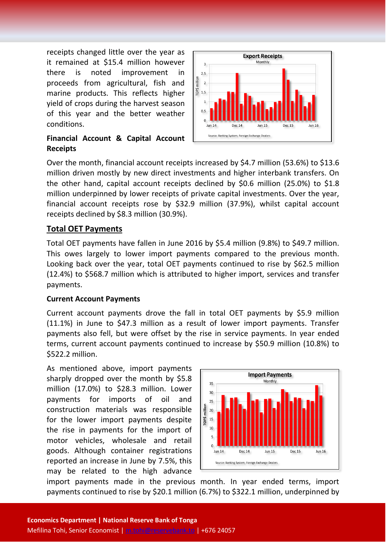receipts changed little over the year as it remained at \$15.4 million however there is noted improvement in proceeds from agricultural, fish and marine products. This reflects higher yield of crops during the harvest season of this year and the better weather conditions.

## **Financial Account & Capital Account Receipts**



Over the month, financial account receipts increased by \$4.7 million (53.6%) to \$13.6 million driven mostly by new direct investments and higher interbank transfers. On the other hand, capital account receipts declined by \$0.6 million (25.0%) to \$1.8 million underpinned by lower receipts of private capital investments. Over the year, financial account receipts rose by \$32.9 million (37.9%), whilst capital account receipts declined by \$8.3 million (30.9%).

# **Total OET Payments**

Total OET payments have fallen in June 2016 by \$5.4 million (9.8%) to \$49.7 million. This owes largely to lower import payments compared to the previous month. Looking back over the year, total OET payments continued to rise by \$62.5 million (12.4%) to \$568.7 million which is attributed to higher import, services and transfer payments.

#### **Current Account Payments**

Current account payments drove the fall in total OET payments by \$5.9 million (11.1%) in June to \$47.3 million as a result of lower import payments. Transfer payments also fell, but were offset by the rise in service payments. In year ended terms, current account payments continued to increase by \$50.9 million (10.8%) to \$522.2 million.

As mentioned above, import payments sharply dropped over the month by \$5.8 million (17.0%) to \$28.3 million. Lower payments for imports of oil and construction materials was responsible for the lower import payments despite the rise in payments for the import of motor vehicles, wholesale and retail goods. Although container registrations reported an increase in June by 7.5%, this may be related to the high advance



import payments made in the previous month. In year ended terms, import payments continued to rise by \$20.1 million (6.7%) to \$322.1 million, underpinned by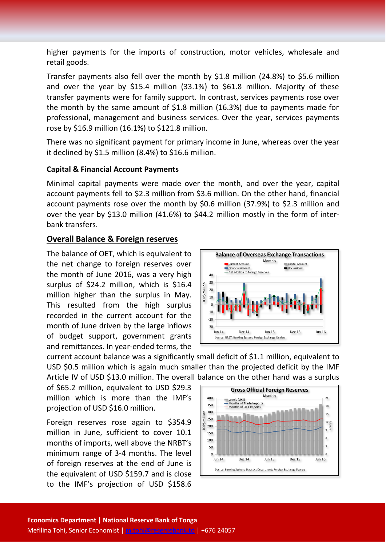higher payments for the imports of construction, motor vehicles, wholesale and retail goods.

Transfer payments also fell over the month by \$1.8 million (24.8%) to \$5.6 million and over the year by \$15.4 million (33.1%) to \$61.8 million. Majority of these transfer payments were for family support. In contrast, services payments rose over the month by the same amount of \$1.8 million (16.3%) due to payments made for professional, management and business services. Over the year, services payments rose by \$16.9 million (16.1%) to \$121.8 million.

There was no significant payment for primary income in June, whereas over the year it declined by \$1.5 million (8.4%) to \$16.6 million.

#### **Capital & Financial Account Payments**

Minimal capital payments were made over the month, and over the year, capital account payments fell to \$2.3 million from \$3.6 million. On the other hand, financial account payments rose over the month by \$0.6 million (37.9%) to \$2.3 million and over the year by \$13.0 million (41.6%) to \$44.2 million mostly in the form of interbank transfers.

## **Overall Balance & Foreign reserves**

The balance of OET, which is equivalent to the net change to foreign reserves over the month of June 2016, was a very high surplus of \$24.2 million, which is \$16.4 million higher than the surplus in May. This resulted from the high surplus recorded in the current account for the month of June driven by the large inflows of budget support, government grants and remittances. In year-ended terms, the



current account balance was a significantly small deficit of \$1.1 million, equivalent to USD \$0.5 million which is again much smaller than the projected deficit by the IMF Article IV of USD \$13.0 million. The overall balance on the other hand was a surplus

of \$65.2 million, equivalent to USD \$29.3 million which is more than the IMF's projection of USD \$16.0 million.

Foreign reserves rose again to \$354.9 million in June, sufficient to cover 10.1 months of imports, well above the NRBT's minimum range of 3-4 months. The level of foreign reserves at the end of June is the equivalent of USD \$159.7 and is close to the IMF's projection of USD \$158.6

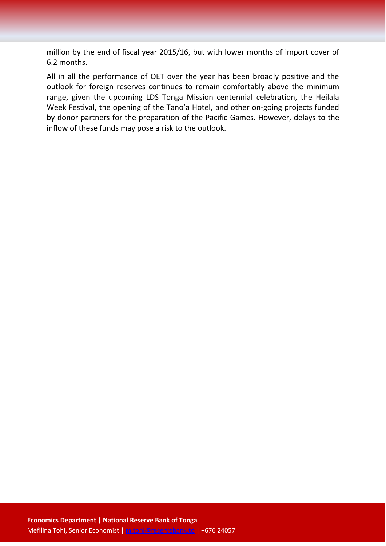million by the end of fiscal year 2015/16, but with lower months of import cover of 6.2 months.

All in all the performance of OET over the year has been broadly positive and the outlook for foreign reserves continues to remain comfortably above the minimum range, given the upcoming LDS Tonga Mission centennial celebration, the Heilala Week Festival, the opening of the Tano'a Hotel, and other on-going projects funded by donor partners for the preparation of the Pacific Games. However, delays to the inflow of these funds may pose a risk to the outlook.